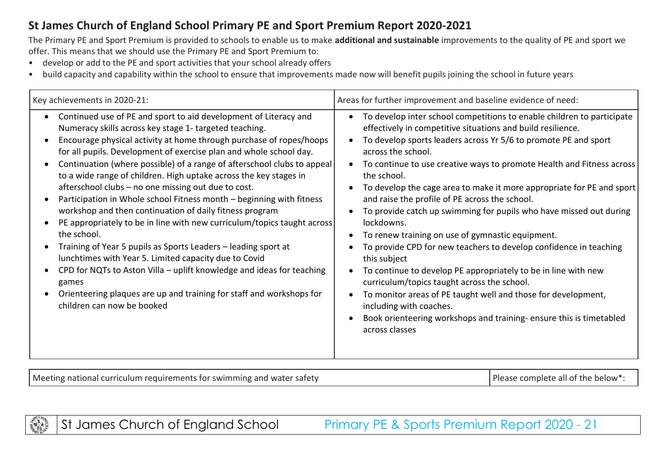## **St James Church of England School Primary PE and Sport Premium Report 2020-2021**

The Primary PE and Sport Premium is provided to schools to enable us to make **additional and sustainable** improvements to the quality of PE and sport we offer. This means that we should use the Primary PE and Sport Premium to:

- develop or add to the PE and sport activities that your school already offers
- build capacity and capability within the school to ensure that improvements made now will benefit pupils joining the school in future years

| Key achievements in 2020-21:                                                                                                                                                                                                                                                                                                                                                                                                                                                                                                                                                                                                                                                                                                                                                                                                                                                                                                                                                                                                   | Areas for further improvement and baseline evidence of need:                                                                                                                                                                                                                                                                                                                                                                                                                                                                                                                                                                                                                                                                                                                                                                                                                                                                                                                                                                            |
|--------------------------------------------------------------------------------------------------------------------------------------------------------------------------------------------------------------------------------------------------------------------------------------------------------------------------------------------------------------------------------------------------------------------------------------------------------------------------------------------------------------------------------------------------------------------------------------------------------------------------------------------------------------------------------------------------------------------------------------------------------------------------------------------------------------------------------------------------------------------------------------------------------------------------------------------------------------------------------------------------------------------------------|-----------------------------------------------------------------------------------------------------------------------------------------------------------------------------------------------------------------------------------------------------------------------------------------------------------------------------------------------------------------------------------------------------------------------------------------------------------------------------------------------------------------------------------------------------------------------------------------------------------------------------------------------------------------------------------------------------------------------------------------------------------------------------------------------------------------------------------------------------------------------------------------------------------------------------------------------------------------------------------------------------------------------------------------|
| Continued use of PE and sport to aid development of Literacy and<br>Numeracy skills across key stage 1- targeted teaching.<br>Encourage physical activity at home through purchase of ropes/hoops<br>for all pupils. Development of exercise plan and whole school day.<br>Continuation (where possible) of a range of afterschool clubs to appeal<br>to a wide range of children. High uptake across the key stages in<br>afterschool clubs - no one missing out due to cost.<br>Participation in Whole school Fitness month - beginning with fitness<br>workshop and then continuation of daily fitness program<br>PE appropriately to be in line with new curriculum/topics taught across<br>the school.<br>Training of Year 5 pupils as Sports Leaders - leading sport at<br>lunchtimes with Year 5. Limited capacity due to Covid<br>CPD for NQTs to Aston Villa - uplift knowledge and ideas for teaching<br>games<br>Orienteering plaques are up and training for staff and workshops for<br>children can now be booked | To develop inter school competitions to enable children to participate<br>$\bullet$<br>effectively in competitive situations and build resilience.<br>To develop sports leaders across Yr 5/6 to promote PE and sport<br>across the school.<br>To continue to use creative ways to promote Health and Fitness across<br>$\bullet$<br>the school.<br>To develop the cage area to make it more appropriate for PE and sport<br>and raise the profile of PE across the school.<br>To provide catch up swimming for pupils who have missed out during<br>lockdowns.<br>To renew training on use of gymnastic equipment.<br>To provide CPD for new teachers to develop confidence in teaching<br>this subject<br>To continue to develop PE appropriately to be in line with new<br>$\bullet$<br>curriculum/topics taught across the school.<br>To monitor areas of PE taught well and those for development,<br>$\bullet$<br>including with coaches.<br>Book orienteering workshops and training-ensure this is timetabled<br>across classes |

Meeting national curriculum requirements for swimming and water safety  $\blacksquare$  Please complete all of the below\*:



St James Church of England School Primary PE & Sports Premium Report 2020 - 21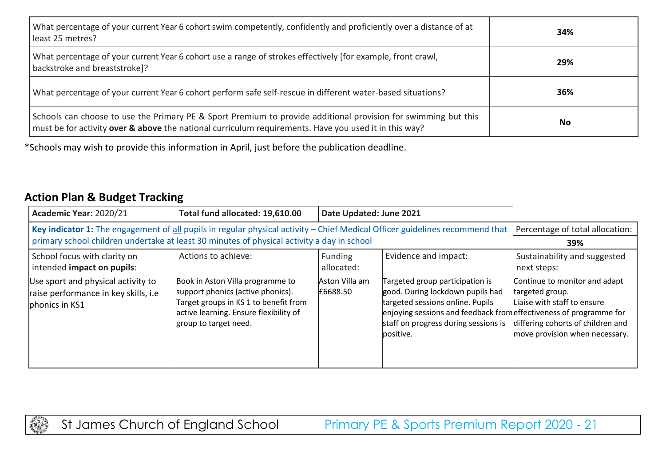| What percentage of your current Year 6 cohort swim competently, confidently and proficiently over a distance of at<br>least 25 metres?                                                                                  | 34% |
|-------------------------------------------------------------------------------------------------------------------------------------------------------------------------------------------------------------------------|-----|
| What percentage of your current Year 6 cohort use a range of strokes effectively [for example, front crawl,<br>backstroke and breaststroke]?                                                                            | 29% |
| What percentage of your current Year 6 cohort perform safe self-rescue in different water-based situations?                                                                                                             | 36% |
| Schools can choose to use the Primary PE & Sport Premium to provide additional provision for swimming but this<br>must be for activity over & above the national curriculum requirements. Have you used it in this way? | No  |

\*Schools may wish to provide this information in April, just before the publication deadline.

## **Action Plan & Budget Tracking**

| Academic Year: 2020/21                                                                                                                                                                                                     | Total fund allocated: 19,610.00                                                                                                                                                   | Date Updated: June 2021      |                                                                                                                                                                                                                                    |                                                                                                                                                        |
|----------------------------------------------------------------------------------------------------------------------------------------------------------------------------------------------------------------------------|-----------------------------------------------------------------------------------------------------------------------------------------------------------------------------------|------------------------------|------------------------------------------------------------------------------------------------------------------------------------------------------------------------------------------------------------------------------------|--------------------------------------------------------------------------------------------------------------------------------------------------------|
| Key indicator 1: The engagement of all pupils in regular physical activity - Chief Medical Officer guidelines recommend that<br>primary school children undertake at least 30 minutes of physical activity a day in school |                                                                                                                                                                                   |                              |                                                                                                                                                                                                                                    | Percentage of total allocation:<br>39%                                                                                                                 |
| School focus with clarity on<br>intended impact on pupils:                                                                                                                                                                 | Actions to achieve:                                                                                                                                                               | <b>Funding</b><br>allocated: | Evidence and impact:                                                                                                                                                                                                               | Sustainability and suggested<br>next steps:                                                                                                            |
| Use sport and physical activity to<br>raise performance in key skills, i.e<br>phonics in KS1                                                                                                                               | Book in Aston Villa programme to<br>support phonics (active phonics).<br>Target groups in KS 1 to benefit from<br>active learning. Ensure flexibility of<br>group to target need. | Aston Villa am<br>E6688.50   | Targeted group participation is<br>good. During lockdown pupils had<br>targeted sessions online. Pupils<br>enjoying sessions and feedback from effectiveness of programme for<br>staff on progress during sessions is<br>positive. | Continue to monitor and adapt<br>targeted group.<br>Liaise with staff to ensure<br>differing cohorts of children and<br>move provision when necessary. |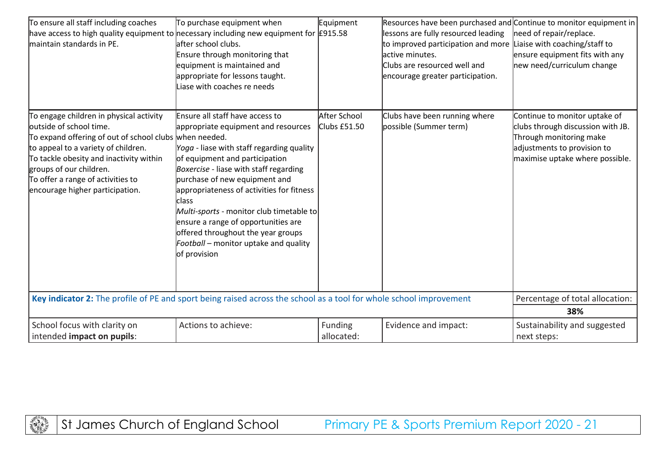| To ensure all staff including coaches<br>have access to high quality equipment to necessary including new equipment for $E915.58$<br>maintain standards in PE.                                                                                                                                                    | To purchase equipment when<br>lafter school clubs.<br>Ensure through monitoring that<br>equipment is maintained and<br>appropriate for lessons taught.<br>Liase with coaches re needs                                                                                                                                                                                                                                                                                    | Equipment                    | Resources have been purchased and Continue to monitor equipment in<br>lessons are fully resourced leading<br>to improved participation and more<br>active minutes.<br>Clubs are resourced well and<br>encourage greater participation. | need of repair/replace.<br>Liaise with coaching/staff to<br>ensure equipment fits with any<br>new need/curriculum change                                        |
|-------------------------------------------------------------------------------------------------------------------------------------------------------------------------------------------------------------------------------------------------------------------------------------------------------------------|--------------------------------------------------------------------------------------------------------------------------------------------------------------------------------------------------------------------------------------------------------------------------------------------------------------------------------------------------------------------------------------------------------------------------------------------------------------------------|------------------------------|----------------------------------------------------------------------------------------------------------------------------------------------------------------------------------------------------------------------------------------|-----------------------------------------------------------------------------------------------------------------------------------------------------------------|
| To engage children in physical activity<br>outside of school time.<br>To expand offering of out of school clubs when needed.<br>to appeal to a variety of children.<br>To tackle obesity and inactivity within<br>groups of our children.<br>To offer a range of activities to<br>encourage higher participation. | Ensure all staff have access to<br>appropriate equipment and resources<br>Yoga - liase with staff regarding quality<br>of equipment and participation<br>Boxercise - liase with staff regarding<br>purchase of new equipment and<br>appropriateness of activities for fitness<br>class<br>Multi-sports - monitor club timetable to<br>ensure a range of opportunities are<br>offered throughout the year groups<br>Football - monitor uptake and quality<br>of provision | After School<br>Clubs £51.50 | Clubs have been running where<br>possible (Summer term)                                                                                                                                                                                | Continue to monitor uptake of<br>clubs through discussion with JB.<br>Through monitoring make<br>adjustments to provision to<br>maximise uptake where possible. |
| Key indicator 2: The profile of PE and sport being raised across the school as a tool for whole school improvement                                                                                                                                                                                                |                                                                                                                                                                                                                                                                                                                                                                                                                                                                          |                              |                                                                                                                                                                                                                                        | Percentage of total allocation:<br>38%                                                                                                                          |
| School focus with clarity on<br>intended impact on pupils:                                                                                                                                                                                                                                                        | Actions to achieve:                                                                                                                                                                                                                                                                                                                                                                                                                                                      | Funding<br>allocated:        | Evidence and impact:                                                                                                                                                                                                                   | Sustainability and suggested<br>next steps:                                                                                                                     |

**ANTISTICS** 

St James Church of England School Primary PE & Sports Premium Report 2020 - 21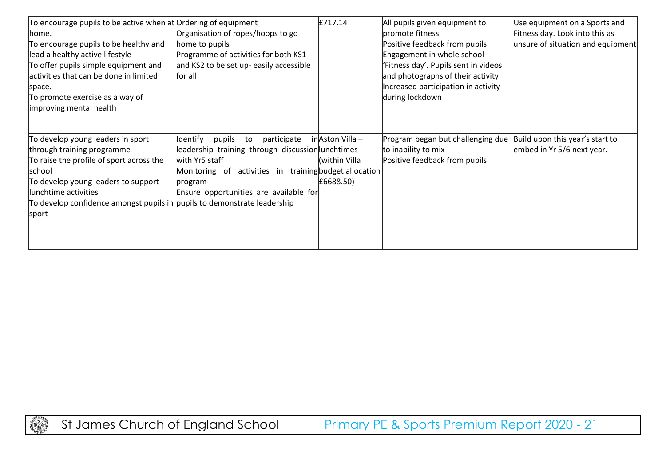| To encourage pupils to be active when at Ordering of equipment           |                                                        | £717.14         | All pupils given equipment to        | Use equipment on a Sports and     |
|--------------------------------------------------------------------------|--------------------------------------------------------|-----------------|--------------------------------------|-----------------------------------|
| lhome.                                                                   | Organisation of ropes/hoops to go                      |                 | lpromote fitness.                    | Fitness day. Look into this as    |
| To encourage pupils to be healthy and                                    | home to pupils                                         |                 | Positive feedback from pupils        | unsure of situation and equipment |
| lead a healthy active lifestyle                                          | Programme of activities for both KS1                   |                 | Engagement in whole school           |                                   |
| To offer pupils simple equipment and                                     | and KS2 to be set up- easily accessible                |                 | 'Fitness day'. Pupils sent in videos |                                   |
| activities that can be done in limited                                   | lfor all                                               |                 | and photographs of their activity    |                                   |
| space.                                                                   |                                                        |                 | Increased participation in activity  |                                   |
| To promote exercise as a way of                                          |                                                        |                 | during lockdown                      |                                   |
| improving mental health                                                  |                                                        |                 |                                      |                                   |
|                                                                          |                                                        |                 |                                      |                                   |
|                                                                          |                                                        |                 |                                      |                                   |
| To develop young leaders in sport                                        | ldentify<br>pupils<br>participate<br>to                | inAston Villa – | Program began but challenging due    | Build upon this year's start to   |
| through training programme                                               | leadership training through discussion lunchtimes      |                 | to inability to mix                  | embed in Yr 5/6 next year.        |
| To raise the profile of sport across the                                 | with Yr5 staff                                         | (within Villa   | Positive feedback from pupils        |                                   |
| school                                                                   | Monitoring of activities in training budget allocation |                 |                                      |                                   |
| To develop young leaders to support                                      | program                                                | £6688.50)       |                                      |                                   |
| lunchtime activities                                                     | Ensure opportunities are available for                 |                 |                                      |                                   |
| To develop confidence amongst pupils in pupils to demonstrate leadership |                                                        |                 |                                      |                                   |
| sport                                                                    |                                                        |                 |                                      |                                   |
|                                                                          |                                                        |                 |                                      |                                   |
|                                                                          |                                                        |                 |                                      |                                   |
|                                                                          |                                                        |                 |                                      |                                   |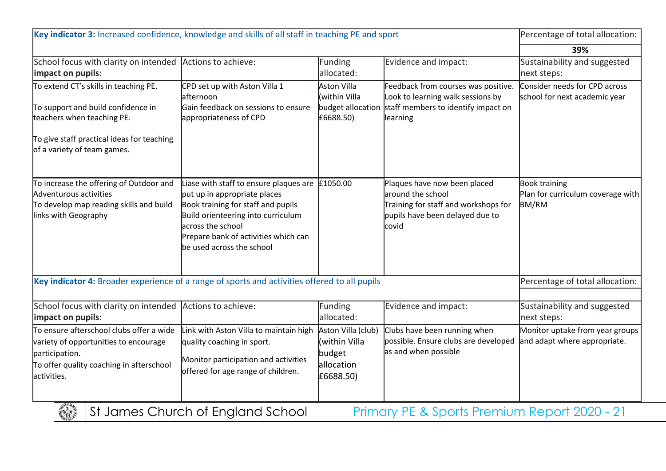| Key indicator 3: Increased confidence, knowledge and skills of all staff in teaching PE and sport                                                                                                  |                                           | Percentage of total allocation:                                                                                                              |                                                                                       |
|----------------------------------------------------------------------------------------------------------------------------------------------------------------------------------------------------|-------------------------------------------|----------------------------------------------------------------------------------------------------------------------------------------------|---------------------------------------------------------------------------------------|
|                                                                                                                                                                                                    |                                           |                                                                                                                                              | 39%                                                                                   |
| School focus with clarity on intended Actions to achieve:                                                                                                                                          | Funding<br>allocated:                     | Evidence and impact:                                                                                                                         | Sustainability and suggested<br>next steps:                                           |
| CPD set up with Aston Villa 1<br>lafternoon<br>Gain feedback on sessions to ensure<br>appropriateness of CPD                                                                                       | Aston Villa<br>(within Villa<br>£6688.50) | Feedback from courses was positive.<br>Look to learning walk sessions by<br>learning                                                         | Consider needs for CPD across<br>school for next academic year                        |
|                                                                                                                                                                                                    |                                           |                                                                                                                                              |                                                                                       |
| put up in appropriate places<br>Book training for staff and pupils<br>Build orienteering into curriculum<br>across the school<br>Prepare bank of activities which can<br>be used across the school |                                           | Plaques have now been placed<br>around the school<br>Training for staff and workshops for<br>pupils have been delayed due to<br>covid        | <b>Book training</b><br>Plan for curriculum coverage with<br><b>BM/RM</b>             |
|                                                                                                                                                                                                    |                                           |                                                                                                                                              | Percentage of total allocation:                                                       |
| Actions to achieve:                                                                                                                                                                                | Funding<br>allocated:                     | Evidence and impact:                                                                                                                         | Sustainability and suggested<br>next steps:                                           |
| Link with Aston Villa to maintain high<br>quality coaching in sport.<br>Monitor participation and activities<br>offered for age range of children.                                                 | (within Villa<br>budget<br>allocation     | possible. Ensure clubs are developed<br>as and when possible                                                                                 | Monitor uptake from year groups<br>and adapt where appropriate.                       |
|                                                                                                                                                                                                    | Liase with staff to ensure plaques are    | £1050.00<br>Key indicator 4: Broader experience of a range of sports and activities offered to all pupils<br>Aston Villa (club)<br>£6688.50) | budget allocation staff members to identify impact on<br>Clubs have been running when |

**Straph James Church of England School Primary PE & Sports Premium Report 2020 - 21**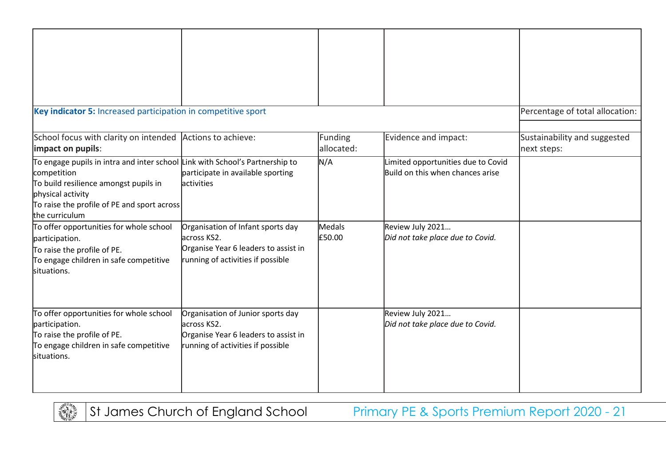| Key indicator 5: Increased participation in competitive sport                                                                                                                                                              |                                                                                                                               |                       |                                                                        | Percentage of total allocation:             |
|----------------------------------------------------------------------------------------------------------------------------------------------------------------------------------------------------------------------------|-------------------------------------------------------------------------------------------------------------------------------|-----------------------|------------------------------------------------------------------------|---------------------------------------------|
| School focus with clarity on intended Actions to achieve:<br>impact on pupils:                                                                                                                                             |                                                                                                                               | Funding<br>allocated: | Evidence and impact:                                                   | Sustainability and suggested<br>next steps: |
| To engage pupils in intra and inter school Link with School's Partnership to<br>competition<br>To build resilience amongst pupils in<br>physical activity<br>To raise the profile of PE and sport across<br>the curriculum | participate in available sporting<br>activities                                                                               | N/A                   | Limited opportunities due to Covid<br>Build on this when chances arise |                                             |
| To offer opportunities for whole school<br>participation.<br>To raise the profile of PE.<br>To engage children in safe competitive<br>situations.                                                                          | Organisation of Infant sports day<br>across KS2.<br>Organise Year 6 leaders to assist in<br>running of activities if possible | Medals<br>£50.00      | Review July 2021<br>Did not take place due to Covid.                   |                                             |
| To offer opportunities for whole school<br>participation.<br>To raise the profile of PE.<br>To engage children in safe competitive<br>situations.                                                                          | Organisation of Junior sports day<br>across KS2.<br>Organise Year 6 leaders to assist in<br>running of activities if possible |                       | Review July 2021<br>Did not take place due to Covid.                   |                                             |

**RANCO** 

St James Church of England School Primary PE & Sports Premium Report 2020 - 21